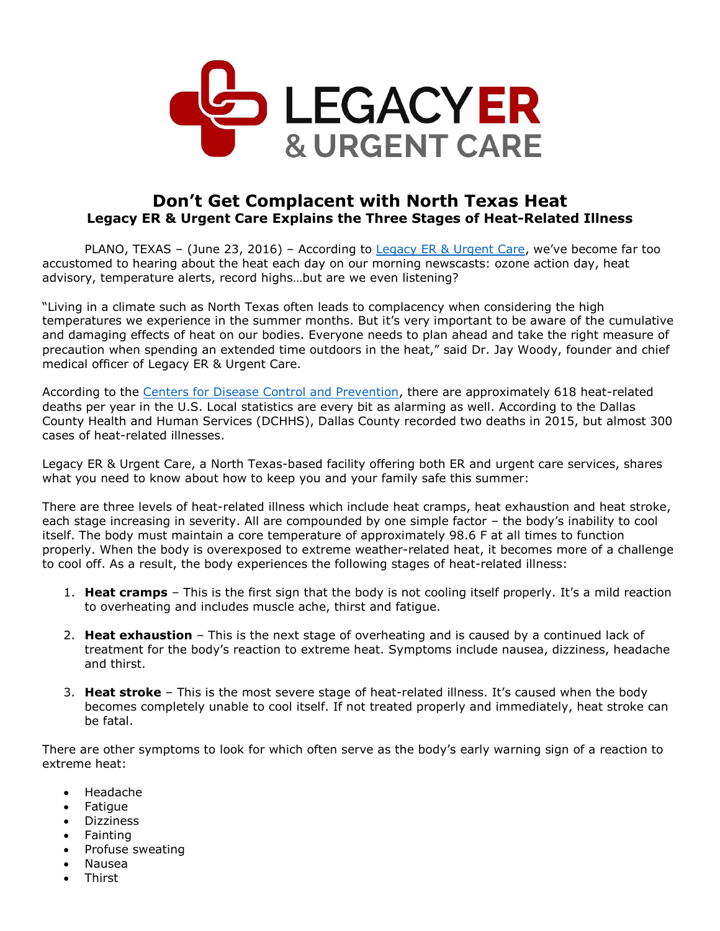

## **Don't Get Complacent with North Texas Heat Legacy ER & Urgent Care Explains the Three Stages of Heat-Related Illness**

PLANO, TEXAS – (June 23, 2016) – According to [Legacy ER & Urgent Care](http://www.legacyer.com/), we've become far too accustomed to hearing about the heat each day on our morning newscasts: ozone action day, heat advisory, temperature alerts, record highs…but are we even listening?

"Living in a climate such as North Texas often leads to complacency when considering the high temperatures we experience in the summer months. But it's very important to be aware of the cumulative and damaging effects of heat on our bodies. Everyone needs to plan ahead and take the right measure of precaution when spending an extended time outdoors in the heat," said Dr. Jay Woody, founder and chief medical officer of Legacy ER & Urgent Care.

According to the [Centers for Disease Control and Prevention,](http://www.cdc.gov/mmwr/preview/mmwrhtml/mm6136a6.htm) there are approximately 618 heat-related deaths per year in the U.S. Local statistics are every bit as alarming as well. According to the Dallas County Health and Human Services (DCHHS), Dallas County recorded two deaths in 2015, but almost 300 cases of heat-related illnesses.

Legacy ER & Urgent Care, a North Texas-based facility offering both ER and urgent care services, shares what you need to know about how to keep you and your family safe this summer:

There are three levels of heat-related illness which include heat cramps, heat exhaustion and heat stroke, each stage increasing in severity. All are compounded by one simple factor – the body's inability to cool itself. The body must maintain a core temperature of approximately 98.6 F at all times to function properly. When the body is overexposed to extreme weather-related heat, it becomes more of a challenge to cool off. As a result, the body experiences the following stages of heat-related illness:

- 1. **Heat cramps** This is the first sign that the body is not cooling itself properly. It's a mild reaction to overheating and includes muscle ache, thirst and fatigue.
- 2. **Heat exhaustion** This is the next stage of overheating and is caused by a continued lack of treatment for the body's reaction to extreme heat. Symptoms include nausea, dizziness, headache and thirst.
- 3. **Heat stroke** This is the most severe stage of heat-related illness. It's caused when the body becomes completely unable to cool itself. If not treated properly and immediately, heat stroke can be fatal.

There are other symptoms to look for which often serve as the body's early warning sign of a reaction to extreme heat:

- Headache
- **Fatigue**
- Dizziness
- Fainting
- Profuse sweating
- Nausea
- **Thirst**